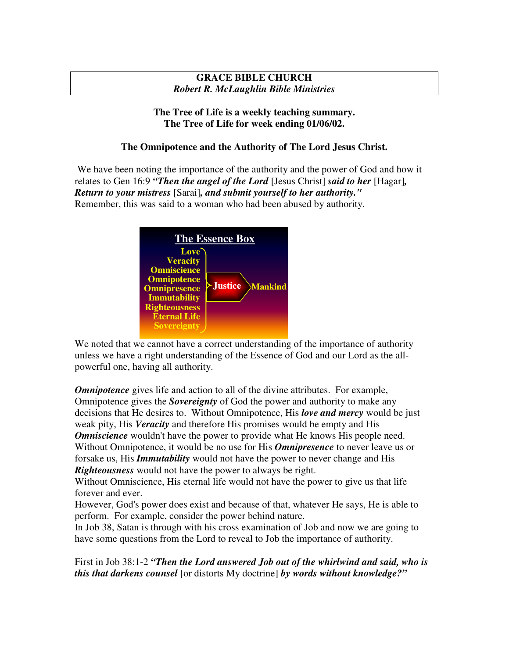#### **GRACE BIBLE CHURCH** *Robert R. McLaughlin Bible Ministries*

#### **The Tree of Life is a weekly teaching summary. The Tree of Life for week ending 01/06/02.**

### **The Omnipotence and the Authority of The Lord Jesus Christ.**

We have been noting the importance of the authority and the power of God and how it relates to Gen 16:9 *"Then the angel of the Lord* [Jesus Christ] *said to her* [Hagar]*, Return to your mistress* [Sarai]*, and submit yourself to her authority."* Remember, this was said to a woman who had been abused by authority.



We noted that we cannot have a correct understanding of the importance of authority unless we have a right understanding of the Essence of God and our Lord as the allpowerful one, having all authority.

*Omnipotence* gives life and action to all of the divine attributes. For example, Omnipotence gives the *Sovereignty* of God the power and authority to make any decisions that He desires to. Without Omnipotence, His *love and mercy* would be just weak pity, His *Veracity* and therefore His promises would be empty and His *Omniscience* wouldn't have the power to provide what He knows His people need. Without Omnipotence, it would be no use for His *Omnipresence* to never leave us or forsake us, His *Immutability* would not have the power to never change and His *Righteousness* would not have the power to always be right.

Without Omniscience, His eternal life would not have the power to give us that life forever and ever.

However, God's power does exist and because of that, whatever He says, He is able to perform. For example, consider the power behind nature.

In Job 38, Satan is through with his cross examination of Job and now we are going to have some questions from the Lord to reveal to Job the importance of authority.

First in Job 38:1-2 *"Then the Lord answered Job out of the whirlwind and said, who is this that darkens counsel* [or distorts My doctrine] *by words without knowledge?"*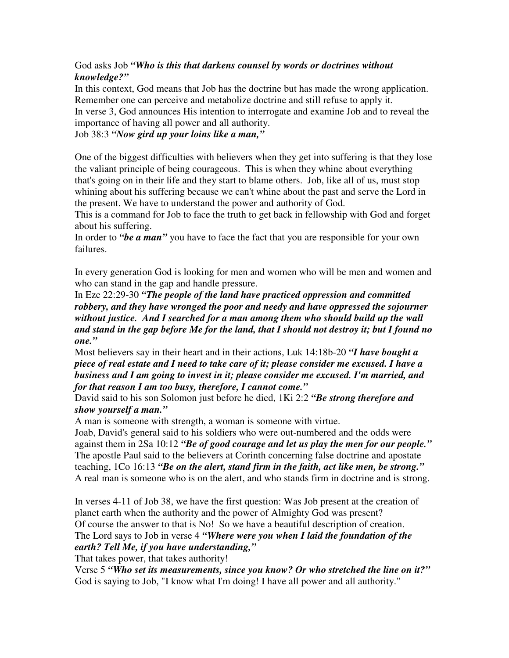## God asks Job *"Who is this that darkens counsel by words or doctrines without knowledge?"*

In this context, God means that Job has the doctrine but has made the wrong application. Remember one can perceive and metabolize doctrine and still refuse to apply it. In verse 3, God announces His intention to interrogate and examine Job and to reveal the importance of having all power and all authority.

# Job 38:3 *"Now gird up your loins like a man,"*

One of the biggest difficulties with believers when they get into suffering is that they lose the valiant principle of being courageous. This is when they whine about everything that's going on in their life and they start to blame others. Job, like all of us, must stop whining about his suffering because we can't whine about the past and serve the Lord in the present. We have to understand the power and authority of God.

This is a command for Job to face the truth to get back in fellowship with God and forget about his suffering.

In order to *"be a man"* you have to face the fact that you are responsible for your own failures.

In every generation God is looking for men and women who will be men and women and who can stand in the gap and handle pressure.

In Eze 22:29-30 *"The people of the land have practiced oppression and committed robbery, and they have wronged the poor and needy and have oppressed the sojourner without justice. And I searched for a man among them who should build up the wall* and stand in the gap before Me for the land, that I should not destroy it; but I found no *one."*

Most believers say in their heart and in their actions, Luk 14:18b-20 *"I have bought a piece of real estate and I need to take care of it; please consider me excused. I have a business and I am going to invest in it; please consider me excused. I'm married, and for that reason I am too busy, therefore, I cannot come."*

David said to his son Solomon just before he died, 1Ki 2:2 *"Be strong therefore and show yourself a man."*

A man is someone with strength, a woman is someone with virtue.

Joab, David's general said to his soldiers who were out-numbered and the odds were against them in 2Sa 10:12 *"Be of good courage and let us play the men for our people."* The apostle Paul said to the believers at Corinth concerning false doctrine and apostate teaching, 1Co 16:13 *"Be on the alert, stand firm in the faith, act like men, be strong."* A real man is someone who is on the alert, and who stands firm in doctrine and is strong.

In verses 4-11 of Job 38, we have the first question: Was Job present at the creation of planet earth when the authority and the power of Almighty God was present? Of course the answer to that is No! So we have a beautiful description of creation. The Lord says to Job in verse 4 *"Where were you when I laid the foundation of the earth? Tell Me, if you have understanding,"*

That takes power, that takes authority!

Verse 5 *"Who set its measurements, since you know? Or who stretched the line on it?"* God is saying to Job, "I know what I'm doing! I have all power and all authority."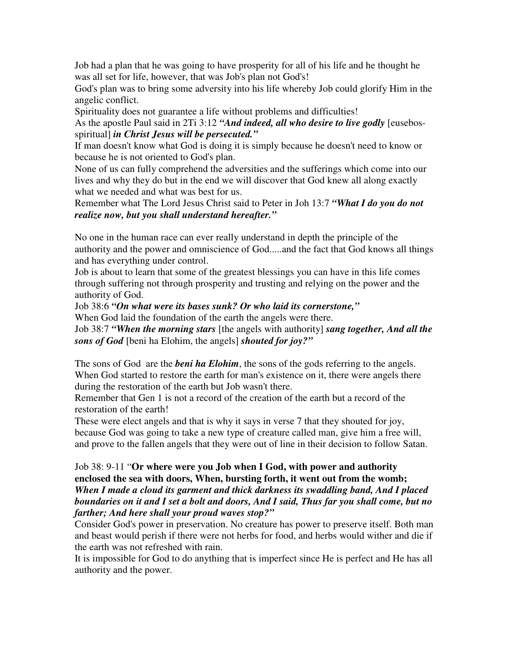Job had a plan that he was going to have prosperity for all of his life and he thought he was all set for life, however, that was Job's plan not God's!

God's plan was to bring some adversity into his life whereby Job could glorify Him in the angelic conflict.

Spirituality does not guarantee a life without problems and difficulties!

As the apostle Paul said in 2Ti 3:12 *"And indeed, all who desire to live godly* [eusebosspiritual] *in Christ Jesus will be persecuted."*

If man doesn't know what God is doing it is simply because he doesn't need to know or because he is not oriented to God's plan.

None of us can fully comprehend the adversities and the sufferings which come into our lives and why they do but in the end we will discover that God knew all along exactly what we needed and what was best for us.

Remember what The Lord Jesus Christ said to Peter in Joh 13:7 *"What I do you do not realize now, but you shall understand hereafter."*

No one in the human race can ever really understand in depth the principle of the authority and the power and omniscience of God.....and the fact that God knows all things and has everything under control.

Job is about to learn that some of the greatest blessings you can have in this life comes through suffering not through prosperity and trusting and relying on the power and the authority of God.

Job 38:6 *"On what were its bases sunk? Or who laid its cornerstone,"*

When God laid the foundation of the earth the angels were there.

Job 38:7 *"When the morning stars* [the angels with authority] *sang together, And all the sons of God* [beni ha Elohim, the angels] *shouted for joy?"*

The sons of God are the *beni ha Elohim*, the sons of the gods referring to the angels. When God started to restore the earth for man's existence on it, there were angels there during the restoration of the earth but Job wasn't there.

Remember that Gen 1 is not a record of the creation of the earth but a record of the restoration of the earth!

These were elect angels and that is why it says in verse 7 that they shouted for joy, because God was going to take a new type of creature called man, give him a free will, and prove to the fallen angels that they were out of line in their decision to follow Satan.

## Job 38: 9-11 "**Or where were you Job when I God, with power and authority enclosed the sea with doors, When, bursting forth, it went out from the womb;** *When I made a cloud its garment and thick darkness its swaddling band, And I placed* boundaries on it and I set a bolt and doors, And I said, Thus far you shall come, but no *farther; And here shall your proud waves stop?"*

Consider God's power in preservation. No creature has power to preserve itself. Both man and beast would perish if there were not herbs for food, and herbs would wither and die if the earth was not refreshed with rain.

It is impossible for God to do anything that is imperfect since He is perfect and He has all authority and the power.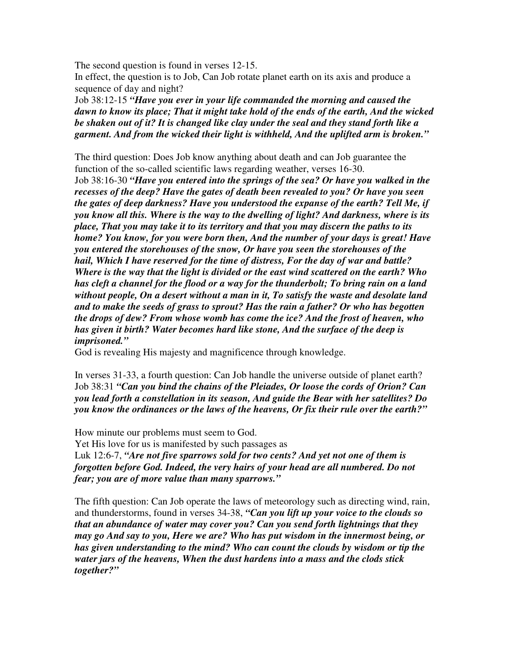The second question is found in verses 12-15.

In effect, the question is to Job, Can Job rotate planet earth on its axis and produce a sequence of day and night?

Job 38:12-15 *"Have you ever in your life commanded the morning and caused the dawn to know its place; That it might take hold of the ends of the earth, And the wicked be shaken out of it? It is changed like clay under the seal and they stand forth like a garment. And from the wicked their light is withheld, And the uplifted arm is broken."*

The third question: Does Job know anything about death and can Job guarantee the function of the so-called scientific laws regarding weather, verses 16-30.

Job 38:16-30 *"Have you entered into the springs of the sea? Or have you walked in the recesses of the deep? Have the gates of death been revealed to you? Or have you seen the gates of deep darkness? Have you understood the expanse of the earth? Tell Me, if you know all this. Where is the way to the dwelling of light? And darkness, where is its place, That you may take it to its territory and that you may discern the paths to its home? You know, for you were born then, And the number of your days is great! Have you entered the storehouses of the snow, Or have you seen the storehouses of the hail, Which I have reserved for the time of distress, For the day of war and battle? Where is the way that the light is divided or the east wind scattered on the earth? Who has cleft a channel for the flood or a way for the thunderbolt; To bring rain on a land without people, On a desert without a man in it, To satisfy the waste and desolate land and to make the seeds of grass to sprout? Has the rain a father? Or who has begotten the drops of dew? From whose womb has come the ice? And the frost of heaven, who has given it birth? Water becomes hard like stone, And the surface of the deep is imprisoned."*

God is revealing His majesty and magnificence through knowledge.

In verses 31-33, a fourth question: Can Job handle the universe outside of planet earth? Job 38:31 *"Can you bind the chains of the Pleiades, Or loose the cords of Orion? Can you lead forth a constellation in its season, And guide the Bear with her satellites? Do you know the ordinances or the laws of the heavens, Or fix their rule over the earth?"*

How minute our problems must seem to God.

Yet His love for us is manifested by such passages as

Luk 12:6-7, *"Are not five sparrows sold for two cents? And yet not one of them is forgotten before God. Indeed, the very hairs of your head are all numbered. Do not fear; you are of more value than many sparrows."*

The fifth question: Can Job operate the laws of meteorology such as directing wind, rain, and thunderstorms, found in verses 34-38, *"Can you lift up your voice to the clouds so that an abundance of water may cover you? Can you send forth lightnings that they may go And say to you, Here we are? Who has put wisdom in the innermost being, or has given understanding to the mind? Who can count the clouds by wisdom or tip the water jars of the heavens, When the dust hardens into a mass and the clods stick together?"*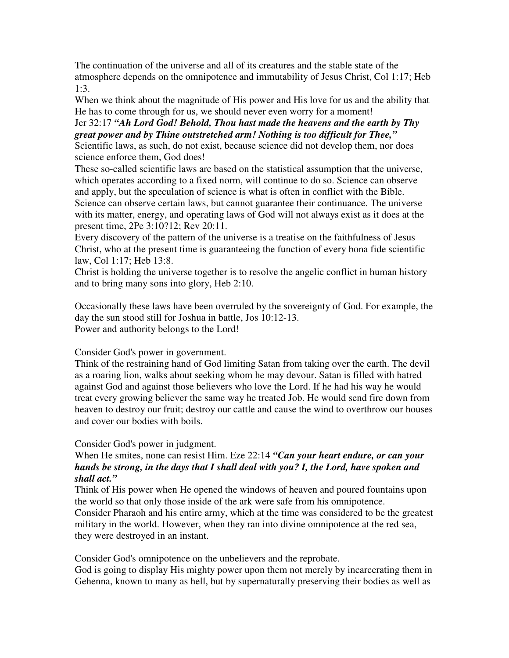The continuation of the universe and all of its creatures and the stable state of the atmosphere depends on the omnipotence and immutability of Jesus Christ, Col 1:17; Heb 1:3.

When we think about the magnitude of His power and His love for us and the ability that He has to come through for us, we should never even worry for a moment!

Jer 32:17 *"Ah Lord God! Behold, Thou hast made the heavens and the earth by Thy great power and by Thine outstretched arm! Nothing is too difficult for Thee,"*

Scientific laws, as such, do not exist, because science did not develop them, nor does science enforce them, God does!

These so-called scientific laws are based on the statistical assumption that the universe, which operates according to a fixed norm, will continue to do so. Science can observe and apply, but the speculation of science is what is often in conflict with the Bible. Science can observe certain laws, but cannot guarantee their continuance. The universe with its matter, energy, and operating laws of God will not always exist as it does at the present time, 2Pe 3:10?12; Rev 20:11.

Every discovery of the pattern of the universe is a treatise on the faithfulness of Jesus Christ, who at the present time is guaranteeing the function of every bona fide scientific law, Col 1:17; Heb 13:8.

Christ is holding the universe together is to resolve the angelic conflict in human history and to bring many sons into glory, Heb 2:10.

Occasionally these laws have been overruled by the sovereignty of God. For example, the day the sun stood still for Joshua in battle, Jos 10:12-13. Power and authority belongs to the Lord!

Consider God's power in government.

Think of the restraining hand of God limiting Satan from taking over the earth. The devil as a roaring lion, walks about seeking whom he may devour. Satan is filled with hatred against God and against those believers who love the Lord. If he had his way he would treat every growing believer the same way he treated Job. He would send fire down from heaven to destroy our fruit; destroy our cattle and cause the wind to overthrow our houses and cover our bodies with boils.

Consider God's power in judgment.

When He smites, none can resist Him. Eze 22:14 *"Can your heart endure, or can your hands be strong, in the days that I shall deal with you? I, the Lord, have spoken and shall act."*

Think of His power when He opened the windows of heaven and poured fountains upon the world so that only those inside of the ark were safe from his omnipotence. Consider Pharaoh and his entire army, which at the time was considered to be the greatest military in the world. However, when they ran into divine omnipotence at the red sea,

they were destroyed in an instant.

Consider God's omnipotence on the unbelievers and the reprobate.

God is going to display His mighty power upon them not merely by incarcerating them in Gehenna, known to many as hell, but by supernaturally preserving their bodies as well as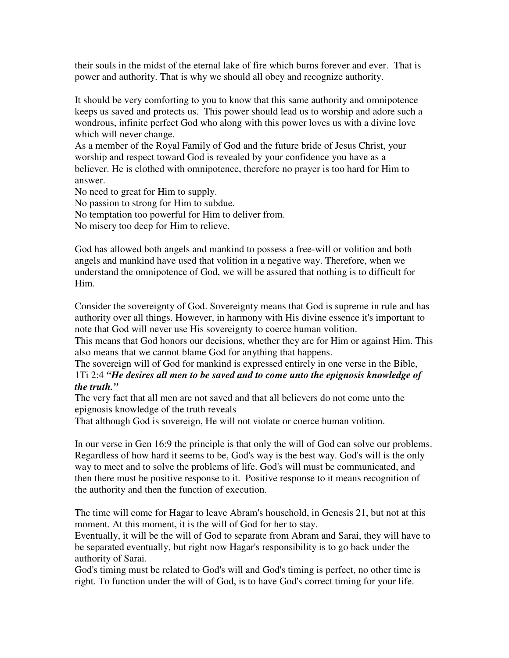their souls in the midst of the eternal lake of fire which burns forever and ever. That is power and authority. That is why we should all obey and recognize authority.

It should be very comforting to you to know that this same authority and omnipotence keeps us saved and protects us. This power should lead us to worship and adore such a wondrous, infinite perfect God who along with this power loves us with a divine love which will never change.

As a member of the Royal Family of God and the future bride of Jesus Christ, your worship and respect toward God is revealed by your confidence you have as a believer. He is clothed with omnipotence, therefore no prayer is too hard for Him to answer.

No need to great for Him to supply.

No passion to strong for Him to subdue.

No temptation too powerful for Him to deliver from.

No misery too deep for Him to relieve.

God has allowed both angels and mankind to possess a free-will or volition and both angels and mankind have used that volition in a negative way. Therefore, when we understand the omnipotence of God, we will be assured that nothing is to difficult for Him.

Consider the sovereignty of God. Sovereignty means that God is supreme in rule and has authority over all things. However, in harmony with His divine essence it's important to note that God will never use His sovereignty to coerce human volition.

This means that God honors our decisions, whether they are for Him or against Him. This also means that we cannot blame God for anything that happens.

The sovereign will of God for mankind is expressed entirely in one verse in the Bible, 1Ti 2:4 *"He desires all men to be saved and to come unto the epignosis knowledge of the truth."*

The very fact that all men are not saved and that all believers do not come unto the epignosis knowledge of the truth reveals

That although God is sovereign, He will not violate or coerce human volition.

In our verse in Gen 16:9 the principle is that only the will of God can solve our problems. Regardless of how hard it seems to be, God's way is the best way. God's will is the only way to meet and to solve the problems of life. God's will must be communicated, and then there must be positive response to it. Positive response to it means recognition of the authority and then the function of execution.

The time will come for Hagar to leave Abram's household, in Genesis 21, but not at this moment. At this moment, it is the will of God for her to stay.

Eventually, it will be the will of God to separate from Abram and Sarai, they will have to be separated eventually, but right now Hagar's responsibility is to go back under the authority of Sarai.

God's timing must be related to God's will and God's timing is perfect, no other time is right. To function under the will of God, is to have God's correct timing for your life.